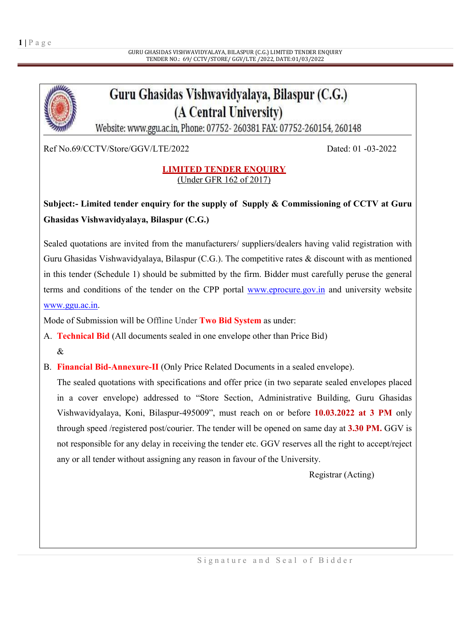# Guru Ghasidas Vishwavidyalaya, Bilaspur (C.G.) (A Central University)

Website: www.ggu.ac.in, Phone: 07752-260381 FAX: 07752-260154, 260148

Ref No.69/CCTV/Store/GGV/LTE/2022 Dated: 01 -03-2022

### LIMITED TENDER ENQUIRY (Under GFR 162 of 2017)

## Subject:- Limited tender enquiry for the supply of Supply & Commissioning of CCTV at Guru Ghasidas Vishwavidyalaya, Bilaspur (C.G.)

Sealed quotations are invited from the manufacturers/ suppliers/dealers having valid registration with Guru Ghasidas Vishwavidyalaya, Bilaspur (C.G.). The competitive rates & discount with as mentioned in this tender (Schedule 1) should be submitted by the firm. Bidder must carefully peruse the general terms and conditions of the tender on the CPP portal www.eprocure.gov.in and university website www.ggu.ac.in.

Mode of Submission will be Offline Under Two Bid System as under:

- A. Technical Bid (All documents sealed in one envelope other than Price Bid)  $\mathcal{R}$
- B. Financial Bid-Annexure-II (Only Price Related Documents in a sealed envelope).

The sealed quotations with specifications and offer price (in two separate sealed envelopes placed in a cover envelope) addressed to "Store Section, Administrative Building, Guru Ghasidas Vishwavidyalaya, Koni, Bilaspur-495009", must reach on or before 10.03.2022 at 3 PM only through speed /registered post/courier. The tender will be opened on same day at 3.30 PM. GGV is not responsible for any delay in receiving the tender etc. GGV reserves all the right to accept/reject any or all tender without assigning any reason in favour of the University.

Registrar (Acting)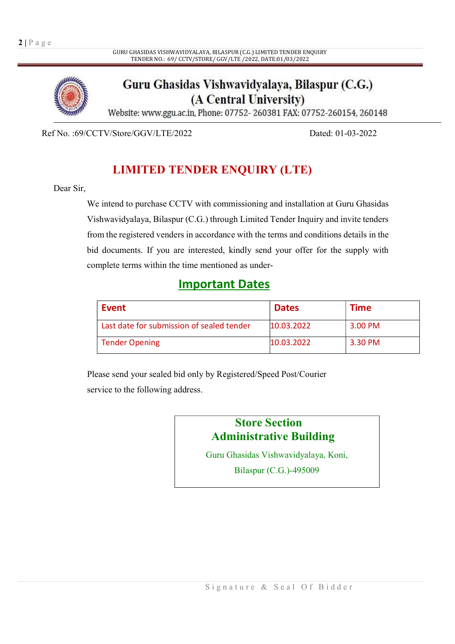GURU GHASIDAS VISHWAVIDYALAYA, BILASPUR (C.G.) LIMITED TENDER ENQUIRY TENDER NO.: 69/ CCTV/STORE/ GGV/LTE /2022, DATE:01/03/2022



Guru Ghasidas Vishwavidyalaya, Bilaspur (C.G.) (A Central University)

Website: www.ggu.ac.in, Phone: 07752-260381 FAX: 07752-260154, 260148

Ref No. :69/CCTV/Store/GGV/LTE/2022 Dated: 01-03-2022

## LIMITED TENDER ENQUIRY (LTE)

#### Dear Sir,

We intend to purchase CCTV with commissioning and installation at Guru Ghasidas Vishwavidyalaya, Bilaspur (C.G.) through Limited Tender Inquiry and invite tenders from the registered venders in accordance with the terms and conditions details in the bid documents. If you are interested, kindly send your offer for the supply with complete terms within the time mentioned as under-

## Important Dates

| Event                                     | <b>Dates</b> | Time    |
|-------------------------------------------|--------------|---------|
| Last date for submission of sealed tender | 10.03.2022   | 3.00 PM |
| <b>Tender Opening</b>                     | 10.03.2022   | 3.30 PM |

Please send your sealed bid only by Registered/Speed Post/Courier service to the following address.

## Store Section Administrative Building

Guru Ghasidas Vishwavidyalaya, Koni,

Bilaspur (C.G.)-495009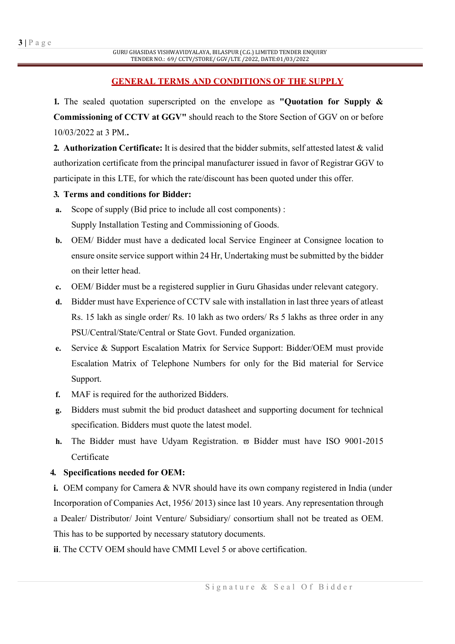### GENERAL TERMS AND CONDITIONS OF THE SUPPLY

1. The sealed quotation superscripted on the envelope as "Quotation for Supply  $\&$ Commissioning of CCTV at GGV" should reach to the Store Section of GGV on or before 10/03/2022 at 3 PM..

2. Authorization Certificate: It is desired that the bidder submits, self attested latest & valid authorization certificate from the principal manufacturer issued in favor of Registrar GGV to participate in this LTE, for which the rate/discount has been quoted under this offer.

### 3. Terms and conditions for Bidder:

- a. Scope of supply (Bid price to include all cost components) : Supply Installation Testing and Commissioning of Goods.
- b. OEM/ Bidder must have a dedicated local Service Engineer at Consignee location to ensure onsite service support within 24 Hr, Undertaking must be submitted by the bidder on their letter head.
- c. OEM/ Bidder must be a registered supplier in Guru Ghasidas under relevant category.
- d. Bidder must have Experience of CCTV sale with installation in last three years of atleast Rs. 15 lakh as single order/ Rs. 10 lakh as two orders/ Rs 5 lakhs as three order in any PSU/Central/State/Central or State Govt. Funded organization.
- e. Service & Support Escalation Matrix for Service Support: Bidder/OEM must provide Escalation Matrix of Telephone Numbers for only for the Bid material for Service Support.
- f. MAF is required for the authorized Bidders.
- g. Bidders must submit the bid product datasheet and supporting document for technical specification. Bidders must quote the latest model.
- h. The Bidder must have Udyam Registration.  $\overline{\omega}$  Bidder must have ISO 9001-2015 Certificate

### 4. Specifications needed for OEM:

i. OEM company for Camera & NVR should have its own company registered in India (under Incorporation of Companies Act, 1956/ 2013) since last 10 years. Any representation through a Dealer/ Distributor/ Joint Venture/ Subsidiary/ consortium shall not be treated as OEM. This has to be supported by necessary statutory documents.

ii. The CCTV OEM should have CMMI Level 5 or above certification.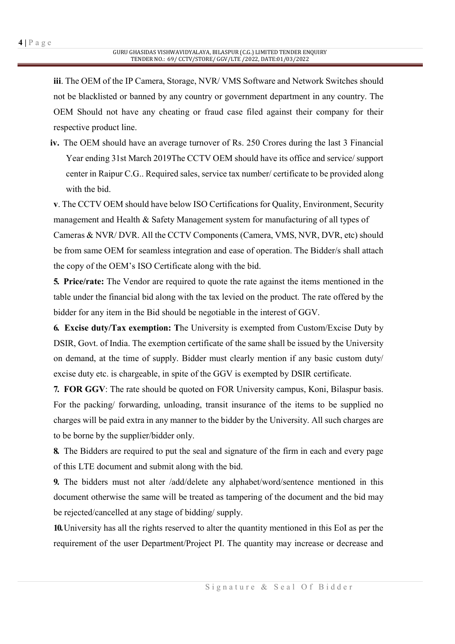iii. The OEM of the IP Camera, Storage, NVR/ VMS Software and Network Switches should not be blacklisted or banned by any country or government department in any country. The OEM Should not have any cheating or fraud case filed against their company for their respective product line.

iv. The OEM should have an average turnover of Rs. 250 Crores during the last 3 Financial Year ending 31st March 2019The CCTV OEM should have its office and service/ support center in Raipur C.G.. Required sales, service tax number/ certificate to be provided along with the bid.

v. The CCTV OEM should have below ISO Certifications for Quality, Environment, Security management and Health & Safety Management system for manufacturing of all types of Cameras & NVR/ DVR. All the CCTV Components (Camera, VMS, NVR, DVR, etc) should be from same OEM for seamless integration and ease of operation. The Bidder/s shall attach the copy of the OEM's ISO Certificate along with the bid.

5. Price/rate: The Vendor are required to quote the rate against the items mentioned in the table under the financial bid along with the tax levied on the product. The rate offered by the bidder for any item in the Bid should be negotiable in the interest of GGV.

6. Excise duty/Tax exemption: The University is exempted from Custom/Excise Duty by DSIR, Govt. of India. The exemption certificate of the same shall be issued by the University on demand, at the time of supply. Bidder must clearly mention if any basic custom duty/ excise duty etc. is chargeable, in spite of the GGV is exempted by DSIR certificate.

7. FOR GGV: The rate should be quoted on FOR University campus, Koni, Bilaspur basis. For the packing/ forwarding, unloading, transit insurance of the items to be supplied no charges will be paid extra in any manner to the bidder by the University. All such charges are to be borne by the supplier/bidder only.

8. The Bidders are required to put the seal and signature of the firm in each and every page of this LTE document and submit along with the bid.

9. The bidders must not alter /add/delete any alphabet/word/sentence mentioned in this document otherwise the same will be treated as tampering of the document and the bid may be rejected/cancelled at any stage of bidding/ supply.

10.University has all the rights reserved to alter the quantity mentioned in this EoI as per the requirement of the user Department/Project PI. The quantity may increase or decrease and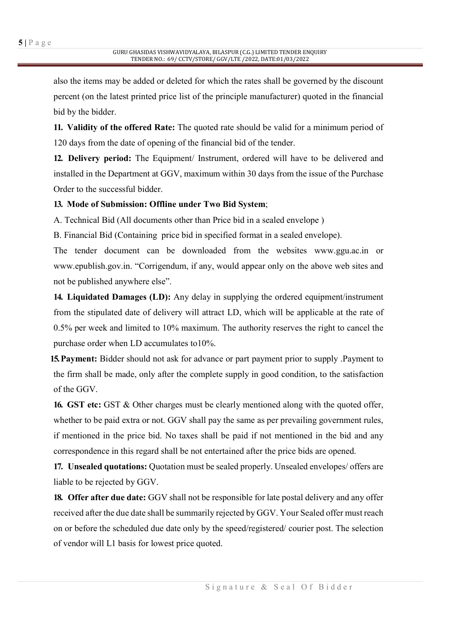also the items may be added or deleted for which the rates shall be governed by the discount percent (on the latest printed price list of the principle manufacturer) quoted in the financial bid by the bidder.

11. Validity of the offered Rate: The quoted rate should be valid for a minimum period of 120 days from the date of opening of the financial bid of the tender.

12. Delivery period: The Equipment/ Instrument, ordered will have to be delivered and installed in the Department at GGV, maximum within 30 days from the issue of the Purchase Order to the successful bidder.

### 13. Mode of Submission: Offline under Two Bid System;

A. Technical Bid (All documents other than Price bid in a sealed envelope )

B. Financial Bid (Containing price bid in specified format in a sealed envelope).

The tender document can be downloaded from the websites www.ggu.ac.in or www.epublish.gov.in. "Corrigendum, if any, would appear only on the above web sites and not be published anywhere else".

14. Liquidated Damages (LD): Any delay in supplying the ordered equipment/instrument from the stipulated date of delivery will attract LD, which will be applicable at the rate of 0.5% per week and limited to 10% maximum. The authority reserves the right to cancel the purchase order when LD accumulates to10%.

15. Payment: Bidder should not ask for advance or part payment prior to supply . Payment to the firm shall be made, only after the complete supply in good condition, to the satisfaction of the GGV.

16. GST etc: GST & Other charges must be clearly mentioned along with the quoted offer, whether to be paid extra or not. GGV shall pay the same as per prevailing government rules, if mentioned in the price bid. No taxes shall be paid if not mentioned in the bid and any correspondence in this regard shall be not entertained after the price bids are opened.

17. Unsealed quotations: Quotation must be sealed properly. Unsealed envelopes/ offers are liable to be rejected by GGV.

18. Offer after due date: GGV shall not be responsible for late postal delivery and any offer received after the due date shall be summarily rejected by GGV. Your Sealed offer must reach on or before the scheduled due date only by the speed/registered/ courier post. The selection of vendor will L1 basis for lowest price quoted.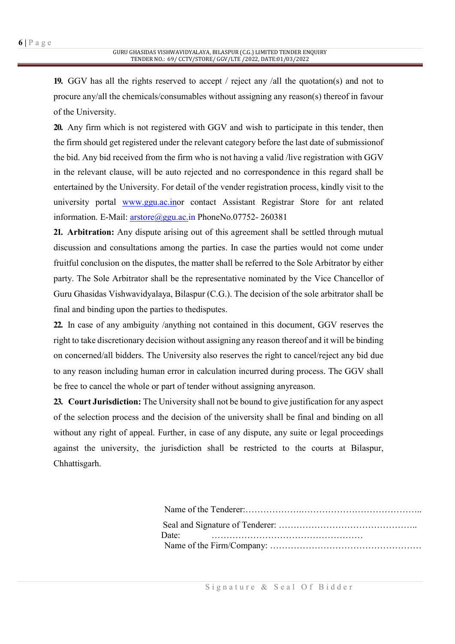19. GGV has all the rights reserved to accept / reject any /all the quotation(s) and not to procure any/all the chemicals/consumables without assigning any reason(s) thereof in favour of the University.

20. Any firm which is not registered with GGV and wish to participate in this tender, then the firm should get registered under the relevant category before the last date of submissionof the bid. Any bid received from the firm who is not having a valid /live registration with GGV in the relevant clause, will be auto rejected and no correspondence in this regard shall be entertained by the University. For detail of the vender registration process, kindly visit to the university portal www.ggu.ac.inor contact Assistant Registrar Store for ant related information. E-Mail: arstore@ggu.ac.in PhoneNo.07752-260381

21. Arbitration: Any dispute arising out of this agreement shall be settled through mutual discussion and consultations among the parties. In case the parties would not come under fruitful conclusion on the disputes, the matter shall be referred to the Sole Arbitrator by either party. The Sole Arbitrator shall be the representative nominated by the Vice Chancellor of Guru Ghasidas Vishwavidyalaya, Bilaspur (C.G.). The decision of the sole arbitrator shall be final and binding upon the parties to thedisputes.

22. In case of any ambiguity /anything not contained in this document, GGV reserves the right to take discretionary decision without assigning any reason thereof and it will be binding on concerned/all bidders. The University also reserves the right to cancel/reject any bid due to any reason including human error in calculation incurred during process. The GGV shall be free to cancel the whole or part of tender without assigning anyreason.

23. Court Jurisdiction: The University shall not be bound to give justification for any aspect of the selection process and the decision of the university shall be final and binding on all without any right of appeal. Further, in case of any dispute, any suite or legal proceedings against the university, the jurisdiction shall be restricted to the courts at Bilaspur, Chhattisgarh.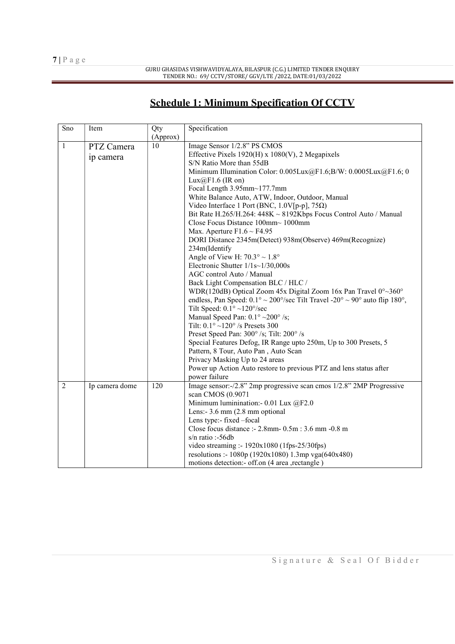GURU GHASIDAS VISHWAVIDYALAYA, BILASPUR (C.G.) LIMITED TENDER ENQUIRY TENDER NO.: 69/ CCTV/STORE/ GGV/LTE /2022, DATE:01/03/2022

## Schedule 1: Minimum Specification Of CCTV

| Sno            | Item           | Qty      | Specification                                                                                      |  |  |  |
|----------------|----------------|----------|----------------------------------------------------------------------------------------------------|--|--|--|
|                |                | (Approx) |                                                                                                    |  |  |  |
| $\mathbf{1}$   | PTZ Camera     | 10       | Image Sensor 1/2.8" PS CMOS                                                                        |  |  |  |
|                | ip camera      |          | Effective Pixels $1920(H)$ x $1080(V)$ , 2 Megapixels                                              |  |  |  |
|                |                |          | S/N Ratio More than 55dB                                                                           |  |  |  |
|                |                |          | Minimum Illumination Color: 0.005Lux@F1.6;B/W: 0.0005Lux@F1.6; 0                                   |  |  |  |
|                |                |          | $Lux@F1.6$ (IR on)                                                                                 |  |  |  |
|                |                |          | Focal Length 3.95mm~177.7mm                                                                        |  |  |  |
|                |                |          | White Balance Auto, ATW, Indoor, Outdoor, Manual                                                   |  |  |  |
|                |                |          | Video Interface 1 Port (BNC, $1.0V[p-p]$ , $75\Omega$ )                                            |  |  |  |
|                |                |          | Bit Rate H.265/H.264: 448K ~ 8192Kbps Focus Control Auto / Manual                                  |  |  |  |
|                |                |          | Close Focus Distance 100mm~ 1000mm                                                                 |  |  |  |
|                |                |          | Max. Aperture $F1.6 \sim F4.95$                                                                    |  |  |  |
|                |                |          | DORI Distance 2345m(Detect) 938m(Observe) 469m(Recognize)                                          |  |  |  |
|                |                |          | 234m(Identify                                                                                      |  |  |  |
|                |                |          | Angle of View H: $70.3^{\circ} \sim 1.8^{\circ}$                                                   |  |  |  |
|                |                |          | Electronic Shutter $1/1s~1/30,000s$                                                                |  |  |  |
|                |                |          | AGC control Auto / Manual                                                                          |  |  |  |
|                |                |          | Back Light Compensation BLC / HLC /                                                                |  |  |  |
|                |                |          | WDR(120dB) Optical Zoom 45x Digital Zoom 16x Pan Travel $0^{\circ}$ - 360°                         |  |  |  |
|                |                |          | endless, Pan Speed: $0.1^{\circ} \sim 200^{\circ}/sec$ Tilt Travel -20° $\sim$ 90° auto flip 180°, |  |  |  |
|                |                |          | Tilt Speed: $0.1^{\circ}$ ~120°/sec                                                                |  |  |  |
|                |                |          | Manual Speed Pan: $0.1^{\circ}$ ~200° /s;                                                          |  |  |  |
|                |                |          | Tilt: $0.1^{\circ}$ ~120° /s Presets 300                                                           |  |  |  |
|                |                |          | Preset Speed Pan: 300°/s; Tilt: 200°/s                                                             |  |  |  |
|                |                |          | Special Features Defog, IR Range upto 250m, Up to 300 Presets, 5                                   |  |  |  |
|                |                |          | Pattern, 8 Tour, Auto Pan, Auto Scan                                                               |  |  |  |
|                |                |          | Privacy Masking Up to 24 areas                                                                     |  |  |  |
|                |                |          | Power up Action Auto restore to previous PTZ and lens status after                                 |  |  |  |
|                |                |          | power failure                                                                                      |  |  |  |
| $\overline{2}$ | Ip camera dome | 120      | Image sensor:-/2.8" 2mp progressive scan cmos 1/2.8" 2MP Progressive                               |  |  |  |
|                |                |          | scan CMOS (0.9071                                                                                  |  |  |  |
|                |                |          | Minimum luminination: - 0.01 Lux @F2.0                                                             |  |  |  |
|                |                |          | Lens: $-3.6$ mm $(2.8$ mm optional                                                                 |  |  |  |
|                |                |          | Lens type:- fixed -focal                                                                           |  |  |  |
|                |                |          | Close focus distance :- 2.8mm - 0.5m : 3.6 mm - 0.8 m                                              |  |  |  |
|                |                |          | $s/n$ ratio :-56db                                                                                 |  |  |  |
|                |                |          | video streaming :- 1920x1080 (1fps-25/30fps)                                                       |  |  |  |
|                |                |          | resolutions :- 1080p (1920x1080) 1.3mp vga(640x480)                                                |  |  |  |
|                |                |          | motions detection:- off.on (4 area , rectangle)                                                    |  |  |  |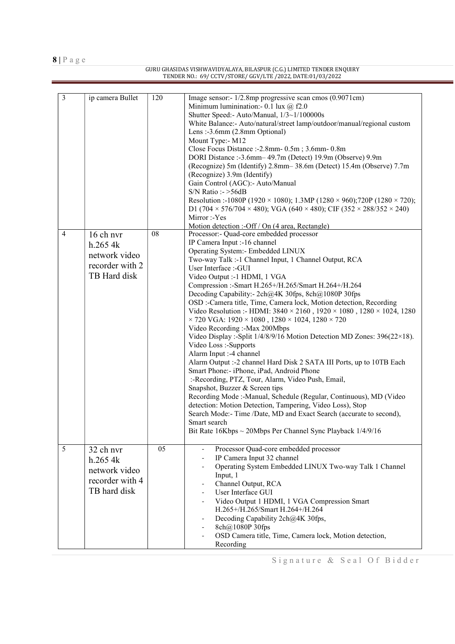GURU GHASIDAS VISHWAVIDYALAYA, BILASPUR (C.G.) LIMITED TENDER ENQUIRY TENDER NO.: 69/ CCTV/STORE/ GGV/LTE /2022, DATE:01/03/2022

| 3              | ip camera Bullet                                                         | 120 | Image sensor: - 1/2.8mp progressive scan cmos (0.9071cm)<br>Minimum luminination: - 0.1 lux $@$ f2.0<br>Shutter Speed:- Auto/Manual, 1/3~1/100000s<br>White Balance:- Auto/natural/street lamp/outdoor/manual/regional custom<br>Lens: -3.6mm (2.8mm Optional)<br>Mount Type:- M12<br>Close Focus Distance :- 2.8mm - 0.5m; 3.6mm - 0.8m<br>DORI Distance :- 3.6mm -- 49.7m (Detect) 19.9m (Observe) 9.9m<br>(Recognize) 5m (Identify) 2.8mm - 38.6m (Detect) 15.4m (Observe) 7.7m<br>(Recognize) 3.9m (Identify)<br>Gain Control (AGC):- Auto/Manual<br>$S/N$ Ratio : $>56dB$<br>Resolution :-1080P (1920 × 1080); 1.3MP (1280 × 960); 720P (1280 × 720);<br>D1 (704 $\times$ 576/704 $\times$ 480); VGA (640 $\times$ 480); CIF (352 $\times$ 288/352 $\times$ 240)<br>Mirror:-Yes<br>Motion detection :- Off / On (4 area, Rectangle)                                                                                                                                                                                                                                                                                                                                                                                                                                               |
|----------------|--------------------------------------------------------------------------|-----|----------------------------------------------------------------------------------------------------------------------------------------------------------------------------------------------------------------------------------------------------------------------------------------------------------------------------------------------------------------------------------------------------------------------------------------------------------------------------------------------------------------------------------------------------------------------------------------------------------------------------------------------------------------------------------------------------------------------------------------------------------------------------------------------------------------------------------------------------------------------------------------------------------------------------------------------------------------------------------------------------------------------------------------------------------------------------------------------------------------------------------------------------------------------------------------------------------------------------------------------------------------------------------------|
| $\overline{4}$ | 16 ch nvr<br>h.2654k<br>network video<br>recorder with 2<br>TB Hard disk | 08  | Processor:- Quad-core embedded processor<br>IP Camera Input :-16 channel<br>Operating System: - Embedded LINUX<br>Two-way Talk :-1 Channel Input, 1 Channel Output, RCA<br>User Interface :- GUI<br>Video Output :- 1 HDMI, 1 VGA<br>Compression :- Smart H.265+/H.265/Smart H.264+/H.264<br>Decoding Capability: - 2ch@4K 30fps, 8ch@1080P 30fps<br>OSD :- Camera title, Time, Camera lock, Motion detection, Recording<br>Video Resolution :- HDMI: $3840 \times 2160$ , $1920 \times 1080$ , $1280 \times 1024$ , 1280<br>$\times$ 720 VGA: 1920 $\times$ 1080, 1280 $\times$ 1024, 1280 $\times$ 720<br>Video Recording:-Max 200Mbps<br>Video Display :- Split 1/4/8/9/16 Motion Detection MD Zones: 396(22×18).<br>Video Loss:-Supports<br>Alarm Input :- 4 channel<br>Alarm Output :- 2 channel Hard Disk 2 SATA III Ports, up to 10TB Each<br>Smart Phone:- iPhone, iPad, Android Phone<br>:-Recording, PTZ, Tour, Alarm, Video Push, Email,<br>Snapshot, Buzzer & Screen tips<br>Recording Mode :- Manual, Schedule (Regular, Continuous), MD (Video<br>detection: Motion Detection, Tampering, Video Loss), Stop<br>Search Mode:- Time /Date, MD and Exact Search (accurate to second),<br>Smart search<br>Bit Rate $16Kbps \sim 20Mbps$ Per Channel Sync Playback $1/4/9/16$ |
| 5              | 32 ch nvr<br>h.2654k<br>network video<br>recorder with 4<br>TB hard disk | 05  | Processor Quad-core embedded processor<br>IP Camera Input 32 channel<br>Operating System Embedded LINUX Two-way Talk 1 Channel<br>Input, 1<br>Channel Output, RCA<br>User Interface GUI<br>Video Output 1 HDMI, 1 VGA Compression Smart<br>H.265+/H.265/Smart H.264+/H.264<br>Decoding Capability 2ch@4K 30fps,<br>8ch@1080P 30fps<br>OSD Camera title, Time, Camera lock, Motion detection,<br>Recording                                                                                                                                                                                                                                                                                                                                                                                                                                                                                                                                                                                                                                                                                                                                                                                                                                                                              |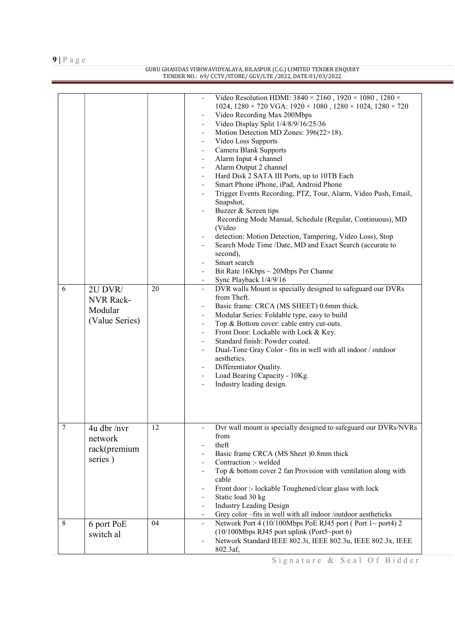#### GURU GHASIDAS VISHWAVIDYALAYA, BILASPUR (C.G.) LIMITED TENDER ENQUIRY TENDER NO.: 69/ CCTV/STORE/ GGV/LTE /2022, DATE:01/03/2022

|                 |                                                          |    | Video Resolution HDMI: $3840 \times 2160$ , $1920 \times 1080$ , $1280 \times$<br>1024, 1280 × 720 VGA: 1920 × 1080, 1280 × 1024, 1280 × 720<br>Video Recording Max 200Mbps<br>Video Display Split 1/4/8/9/16/25/36<br>Motion Detection MD Zones: 396(22×18).<br>Video Loss Supports<br>$\overline{\phantom{a}}$<br>Camera Blank Supports<br>$\overline{\phantom{a}}$<br>Alarm Input 4 channel<br>Alarm Output 2 channel<br>Hard Disk 2 SATA III Ports, up to 10TB Each<br>Smart Phone iPhone, iPad, Android Phone<br>Trigger Events Recording, PTZ, Tour, Alarm, Video Push, Email,<br>Snapshot,<br>Buzzer & Screen tips<br>Recording Mode Manual, Schedule (Regular, Continuous), MD |
|-----------------|----------------------------------------------------------|----|----------------------------------------------------------------------------------------------------------------------------------------------------------------------------------------------------------------------------------------------------------------------------------------------------------------------------------------------------------------------------------------------------------------------------------------------------------------------------------------------------------------------------------------------------------------------------------------------------------------------------------------------------------------------------------------|
|                 |                                                          |    | (Video<br>detection: Motion Detection, Tampering, Video Loss), Stop<br>Search Mode Time /Date, MD and Exact Search (accurate to<br>second),<br>Smart search<br>Bit Rate $16Kbps \sim 20Mbps$ Per Channe                                                                                                                                                                                                                                                                                                                                                                                                                                                                                |
| 6               | 2U DVR/<br><b>NVR Rack-</b><br>Modular<br>(Value Series) | 20 | Sync Playback 1/4/9/16<br>DVR walls Mount is specially designed to safeguard our DVRs<br>from Theft.<br>Basic frame: CRCA (MS SHEET) 0.6mm thick.<br>$\overline{\phantom{a}}$<br>Modular Series: Foldable type, easy to build<br>$\overline{\phantom{a}}$<br>Top & Bottom cover: cable entry cut-outs.<br>$\overline{\phantom{a}}$<br>Front Door: Lockable with Lock & Key.<br>Standard finish: Powder coated.<br>Dual-Tone Gray Color - fits in well with all indoor / outdoor<br>aesthetics.<br>Differentiator Quality.<br>Load Bearing Capacity - 10Kg.<br>Industry leading design.<br>$\overline{\phantom{a}}$                                                                     |
| $7\phantom{.0}$ | $4u$ dbr /nvr<br>network<br>rack(premium<br>series)      | 12 | Dvr wall mount is specially designed to safeguard our DVRs/NVRs<br>from<br>theft<br>Basic frame CRCA (MS Sheet )0.8mm thick<br>Contraction :- welded<br>Top & bottom cover 2 fan Provision with ventilation along with<br>cable<br>Front door :- lockable Toughened/clear glass with lock<br>Static load 30 kg<br><b>Industry Leading Design</b><br>Grey color -fits in well with all indoor /outdoor aestheticks                                                                                                                                                                                                                                                                      |
| 8               | 6 port PoE<br>switch al                                  | 04 | Network Port 4 (10/100Mbps PoE RJ45 port (Port 1~ port4) 2<br>$(10/100Mbps RJ45 port uplink (Port5-port 6))$<br>Network Standard IEEE 802.3i, IEEE 802.3u, IEEE 802.3x, IEEE<br>802.3af,                                                                                                                                                                                                                                                                                                                                                                                                                                                                                               |

Signature & Seal Of Bidder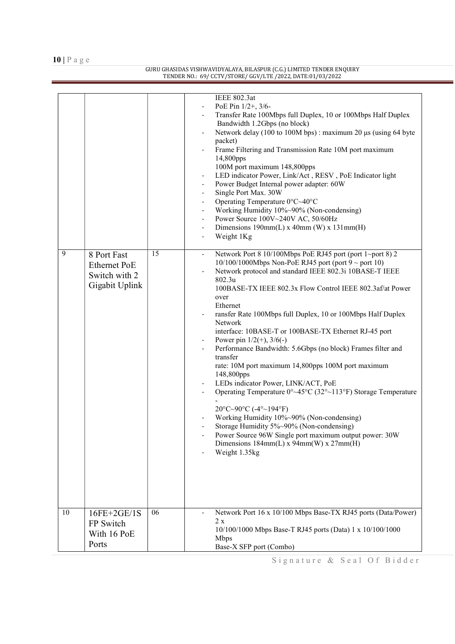$10 \mid P$ a g e

#### GURU GHASIDAS VISHWAVIDYALAYA, BILASPUR (C.G.) LIMITED TENDER ENQUIRY TENDER NO.: 69/ CCTV/STORE/ GGV/LTE /2022, DATE:01/03/2022

| 9  | 8 Port Fast<br><b>Ethernet PoE</b><br>Switch with 2<br>Gigabit Uplink | 15 | <b>IEEE 802.3at</b><br>PoE Pin 1/2+, 3/6-<br>Transfer Rate 100Mbps full Duplex, 10 or 100Mbps Half Duplex<br>Bandwidth 1.2Gbps (no block)<br>Network delay (100 to 100M bps): maximum 20 μs (using 64 byte<br>$\overline{\phantom{0}}$<br>packet)<br>Frame Filtering and Transmission Rate 10M port maximum<br>14,800pps<br>100M port maximum 148,800pps<br>LED indicator Power, Link/Act, RESV, PoE Indicator light<br>Power Budget Internal power adapter: 60W<br>Single Port Max. 30W<br>$\qquad \qquad \blacksquare$<br>Operating Temperature 0°C~40°C<br>$\overline{\phantom{0}}$<br>Working Humidity 10%~90% (Non-condensing)<br>$\overline{\phantom{0}}$<br>Power Source 100V~240V AC, 50/60Hz<br>$\qquad \qquad \blacksquare$<br>Dimensions $190mm(L)$ x $40mm(W)$ x $131mm(H)$<br>$\qquad \qquad \blacksquare$<br>Weight 1Kg<br>Network Port 8 10/100Mbps PoE RJ45 port (port 1~port 8) 2<br>$10/100/1000$ Mbps Non-PoE RJ45 port (port 9 ~ port 10)<br>Network protocol and standard IEEE 802.3i 10BASE-T IEEE<br>802.3u<br>100BASE-TX IEEE 802.3x Flow Control IEEE 802.3af/at Power<br>over<br>Ethernet<br>ransfer Rate 100Mbps full Duplex, 10 or 100Mbps Half Duplex<br>Network<br>interface: 10BASE-T or 100BASE-TX Ethernet RJ-45 port<br>Power pin $1/2(+)$ , $3/6(-)$<br>Performance Bandwidth: 5.6Gbps (no block) Frames filter and<br>transfer<br>rate: 10M port maximum 14,800pps 100M port maximum<br>148,800pps<br>LEDs indicator Power, LINK/ACT, PoE<br>Operating Temperature $0^{\circ}$ ~45°C (32° ~113°F) Storage Temperature<br>$20^{\circ}$ C~90°C (-4°~194°F)<br>Working Humidity 10%~90% (Non-condensing)<br>Storage Humidity 5%~90% (Non-condensing)<br>Power Source 96W Single port maximum output power: 30W<br>Dimensions $184mm(L)$ x $94mm(W)$ x $27mm(H)$<br>Weight 1.35kg |
|----|-----------------------------------------------------------------------|----|-------------------------------------------------------------------------------------------------------------------------------------------------------------------------------------------------------------------------------------------------------------------------------------------------------------------------------------------------------------------------------------------------------------------------------------------------------------------------------------------------------------------------------------------------------------------------------------------------------------------------------------------------------------------------------------------------------------------------------------------------------------------------------------------------------------------------------------------------------------------------------------------------------------------------------------------------------------------------------------------------------------------------------------------------------------------------------------------------------------------------------------------------------------------------------------------------------------------------------------------------------------------------------------------------------------------------------------------------------------------------------------------------------------------------------------------------------------------------------------------------------------------------------------------------------------------------------------------------------------------------------------------------------------------------------------------------------------------------------------------------------------------------------------------------------------------|
| 10 | 16FE+2GE/1S<br>FP Switch<br>With 16 PoE<br>Ports                      | 06 | Network Port 16 x 10/100 Mbps Base-TX RJ45 ports (Data/Power)<br>2 x<br>10/100/1000 Mbps Base-T RJ45 ports (Data) 1 x 10/100/1000<br><b>Mbps</b><br>Base-X SFP port (Combo)                                                                                                                                                                                                                                                                                                                                                                                                                                                                                                                                                                                                                                                                                                                                                                                                                                                                                                                                                                                                                                                                                                                                                                                                                                                                                                                                                                                                                                                                                                                                                                                                                                       |

Signature & Seal Of Bidder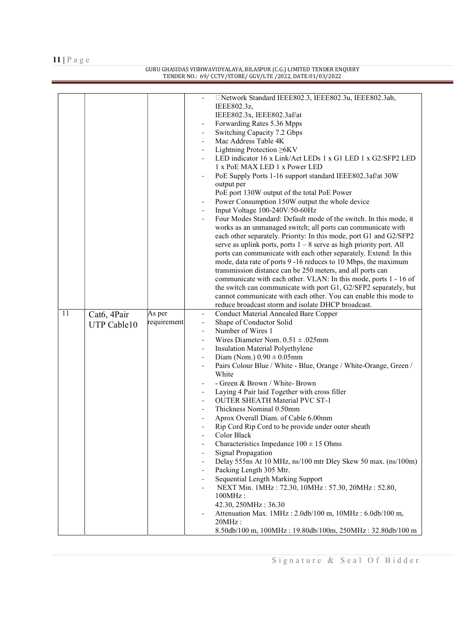#### GURU GHASIDAS VISHWAVIDYALAYA, BILASPUR (C.G.) LIMITED TENDER ENQUIRY TENDER NO.: 69/ CCTV/STORE/ GGV/LTE /2022, DATE:01/03/2022

|    |             |                       | □Network Standard IEEE802.3, IEEE802.3u, IEEE802.3ab,<br>IEEE802.3z,<br>IEEE802.3x, IEEE802.3af/at<br>Forwarding Rates 5.36 Mpps<br>Switching Capacity 7.2 Gbps<br>Mac Address Table 4K<br>Lightning Protection ≥6KV<br>LED indicator 16 x Link/Act LEDs 1 x G1 LED 1 x G2/SFP2 LED<br>1 x PoE MAX LED 1 x Power LED<br>PoE Supply Ports 1-16 support standard IEEE802.3af/at 30W<br>output per<br>PoE port 130W output of the total PoE Power<br>Power Consumption 150W output the whole device<br>Input Voltage 100-240V/50-60Hz<br>Four Modes Standard: Default mode of the switch. In this mode, it<br>works as an unmanaged switch; all ports can communicate with<br>each other separately. Priority: In this mode, port G1 and G2/SFP2<br>serve as uplink ports, ports $1 - 8$ serve as high priority port. All<br>ports can communicate with each other separately. Extend: In this<br>mode, data rate of ports 9 -16 reduces to 10 Mbps, the maximum<br>transmission distance can be 250 meters, and all ports can<br>communicate with each other. VLAN: In this mode, ports 1 - 16 of<br>the switch can communicate with port G1, G2/SFP2 separately, but<br>cannot communicate with each other. You can enable this mode to |
|----|-------------|-----------------------|----------------------------------------------------------------------------------------------------------------------------------------------------------------------------------------------------------------------------------------------------------------------------------------------------------------------------------------------------------------------------------------------------------------------------------------------------------------------------------------------------------------------------------------------------------------------------------------------------------------------------------------------------------------------------------------------------------------------------------------------------------------------------------------------------------------------------------------------------------------------------------------------------------------------------------------------------------------------------------------------------------------------------------------------------------------------------------------------------------------------------------------------------------------------------------------------------------------------------------------|
|    |             |                       | reduce broadcast storm and isolate DHCP broadcast.                                                                                                                                                                                                                                                                                                                                                                                                                                                                                                                                                                                                                                                                                                                                                                                                                                                                                                                                                                                                                                                                                                                                                                                     |
| 11 | Cat6, 4Pair | As per<br>requirement | <b>Conduct Material Annealed Bare Copper</b>                                                                                                                                                                                                                                                                                                                                                                                                                                                                                                                                                                                                                                                                                                                                                                                                                                                                                                                                                                                                                                                                                                                                                                                           |
|    | UTP Cable10 |                       | Shape of Conductor Solid<br>Number of Wires 1                                                                                                                                                                                                                                                                                                                                                                                                                                                                                                                                                                                                                                                                                                                                                                                                                                                                                                                                                                                                                                                                                                                                                                                          |
|    |             |                       | Wires Diameter Nom. $0.51 \pm .025$ mm                                                                                                                                                                                                                                                                                                                                                                                                                                                                                                                                                                                                                                                                                                                                                                                                                                                                                                                                                                                                                                                                                                                                                                                                 |
|    |             |                       | Insulation Material Polyethylene                                                                                                                                                                                                                                                                                                                                                                                                                                                                                                                                                                                                                                                                                                                                                                                                                                                                                                                                                                                                                                                                                                                                                                                                       |
|    |             |                       | Diam (Nom.) $0.90 \pm 0.05$ mm                                                                                                                                                                                                                                                                                                                                                                                                                                                                                                                                                                                                                                                                                                                                                                                                                                                                                                                                                                                                                                                                                                                                                                                                         |
|    |             |                       | Pairs Colour Blue / White - Blue, Orange / White-Orange, Green /                                                                                                                                                                                                                                                                                                                                                                                                                                                                                                                                                                                                                                                                                                                                                                                                                                                                                                                                                                                                                                                                                                                                                                       |
|    |             |                       | White                                                                                                                                                                                                                                                                                                                                                                                                                                                                                                                                                                                                                                                                                                                                                                                                                                                                                                                                                                                                                                                                                                                                                                                                                                  |
|    |             |                       | - Green & Brown / White- Brown                                                                                                                                                                                                                                                                                                                                                                                                                                                                                                                                                                                                                                                                                                                                                                                                                                                                                                                                                                                                                                                                                                                                                                                                         |
|    |             |                       | Laying 4 Pair laid Together with cross filler                                                                                                                                                                                                                                                                                                                                                                                                                                                                                                                                                                                                                                                                                                                                                                                                                                                                                                                                                                                                                                                                                                                                                                                          |
|    |             |                       | <b>OUTER SHEATH Material PVC ST-1</b><br>Thickness Nominal 0.50mm                                                                                                                                                                                                                                                                                                                                                                                                                                                                                                                                                                                                                                                                                                                                                                                                                                                                                                                                                                                                                                                                                                                                                                      |
|    |             |                       | Aprox Overall Diam. of Cable 6.00mm                                                                                                                                                                                                                                                                                                                                                                                                                                                                                                                                                                                                                                                                                                                                                                                                                                                                                                                                                                                                                                                                                                                                                                                                    |
|    |             |                       | Rip Cord Rip Cord to be provide under outer sheath                                                                                                                                                                                                                                                                                                                                                                                                                                                                                                                                                                                                                                                                                                                                                                                                                                                                                                                                                                                                                                                                                                                                                                                     |
|    |             |                       | Color Black<br>$\qquad \qquad -$                                                                                                                                                                                                                                                                                                                                                                                                                                                                                                                                                                                                                                                                                                                                                                                                                                                                                                                                                                                                                                                                                                                                                                                                       |
|    |             |                       | Characteristics Impedance $100 \pm 15$ Ohms                                                                                                                                                                                                                                                                                                                                                                                                                                                                                                                                                                                                                                                                                                                                                                                                                                                                                                                                                                                                                                                                                                                                                                                            |
|    |             |                       | Signal Propagation                                                                                                                                                                                                                                                                                                                                                                                                                                                                                                                                                                                                                                                                                                                                                                                                                                                                                                                                                                                                                                                                                                                                                                                                                     |
|    |             |                       | Delay 555ns At 10 MHz, ns/100 mtr Dley Skew 50 max. (ns/100m)                                                                                                                                                                                                                                                                                                                                                                                                                                                                                                                                                                                                                                                                                                                                                                                                                                                                                                                                                                                                                                                                                                                                                                          |
|    |             |                       | Packing Length 305 Mtr.<br>Sequential Length Marking Support                                                                                                                                                                                                                                                                                                                                                                                                                                                                                                                                                                                                                                                                                                                                                                                                                                                                                                                                                                                                                                                                                                                                                                           |
|    |             |                       | NEXT Min. 1MHz: 72.30, 10MHz: 57.30, 20MHz: 52.80,                                                                                                                                                                                                                                                                                                                                                                                                                                                                                                                                                                                                                                                                                                                                                                                                                                                                                                                                                                                                                                                                                                                                                                                     |
|    |             |                       | 100MHz:                                                                                                                                                                                                                                                                                                                                                                                                                                                                                                                                                                                                                                                                                                                                                                                                                                                                                                                                                                                                                                                                                                                                                                                                                                |
|    |             |                       | 42.30, 250MHz: 36.30                                                                                                                                                                                                                                                                                                                                                                                                                                                                                                                                                                                                                                                                                                                                                                                                                                                                                                                                                                                                                                                                                                                                                                                                                   |
|    |             |                       | Attenuation Max. 1MHz: 2.0db/100 m, 10MHz: 6.0db/100 m,                                                                                                                                                                                                                                                                                                                                                                                                                                                                                                                                                                                                                                                                                                                                                                                                                                                                                                                                                                                                                                                                                                                                                                                |
|    |             |                       | $20MHz$ :                                                                                                                                                                                                                                                                                                                                                                                                                                                                                                                                                                                                                                                                                                                                                                                                                                                                                                                                                                                                                                                                                                                                                                                                                              |
|    |             |                       | 8.50db/100 m, 100MHz: 19.80db/100m, 250MHz: 32.80db/100 m                                                                                                                                                                                                                                                                                                                                                                                                                                                                                                                                                                                                                                                                                                                                                                                                                                                                                                                                                                                                                                                                                                                                                                              |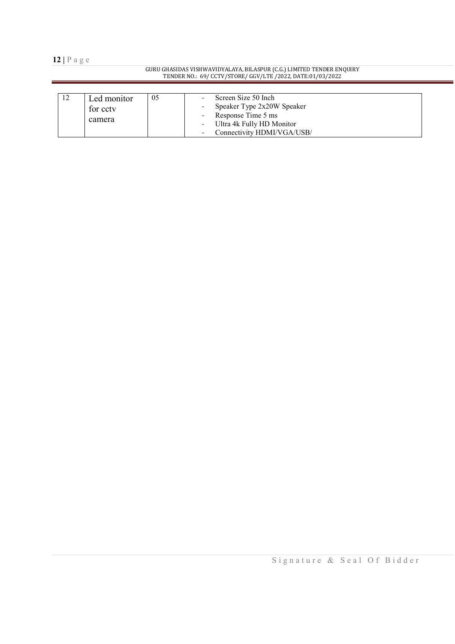#### GURU GHASIDAS VISHWAVIDYALAYA, BILASPUR (C.G.) LIMITED TENDER ENQUIRY TENDER NO.: 69/ CCTV/STORE/ GGV/LTE /2022, DATE:01/03/2022

| ⊥∠ | Led monitor<br>for cctv<br>camera | 05 | Screen Size 50 Inch<br>Speaker Type 2x20W Speaker<br>Response Time 5 ms<br>Ultra 4k Fully HD Monitor<br>Connectivity HDMI/VGA/USB/ |
|----|-----------------------------------|----|------------------------------------------------------------------------------------------------------------------------------------|
|----|-----------------------------------|----|------------------------------------------------------------------------------------------------------------------------------------|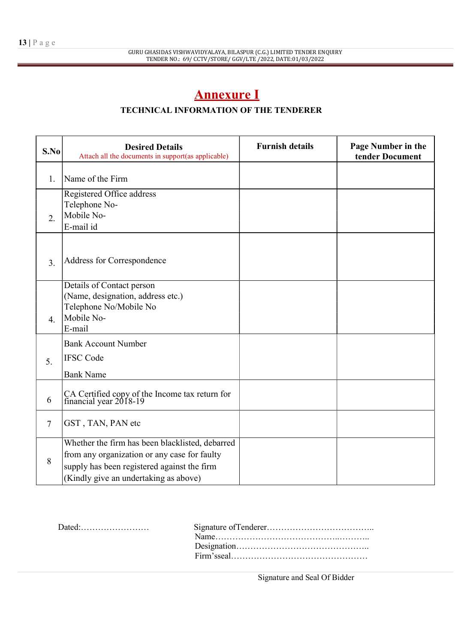# Annexure I

## TECHNICAL INFORMATION OF THE TENDERER

| S.No             | <b>Desired Details</b><br>Attach all the documents in support(as applicable)                                                                                                            | <b>Furnish details</b> | Page Number in the<br>tender Document |
|------------------|-----------------------------------------------------------------------------------------------------------------------------------------------------------------------------------------|------------------------|---------------------------------------|
| 1.               | Name of the Firm                                                                                                                                                                        |                        |                                       |
| 2.               | Registered Office address<br>Telephone No-<br>Mobile No-<br>E-mail id                                                                                                                   |                        |                                       |
| 3.               | Address for Correspondence                                                                                                                                                              |                        |                                       |
| $\overline{4}$ . | Details of Contact person<br>(Name, designation, address etc.)<br>Telephone No/Mobile No<br>Mobile No-<br>E-mail                                                                        |                        |                                       |
| 5.               | <b>Bank Account Number</b><br><b>IFSC</b> Code<br><b>Bank Name</b>                                                                                                                      |                        |                                       |
| 6                | CA Certified copy of the Income tax return for<br>financial year 2018-19                                                                                                                |                        |                                       |
| $\overline{7}$   | GST, TAN, PAN etc                                                                                                                                                                       |                        |                                       |
| 8                | Whether the firm has been blacklisted, debarred<br>from any organization or any case for faulty<br>supply has been registered against the firm<br>(Kindly give an undertaking as above) |                        |                                       |

| $Dated:\ldots:\ldots:\ldots:\ldots:\ldots:\ldots$ |  |
|---------------------------------------------------|--|
|                                                   |  |
|                                                   |  |
|                                                   |  |
|                                                   |  |

Signature and Seal Of Bidder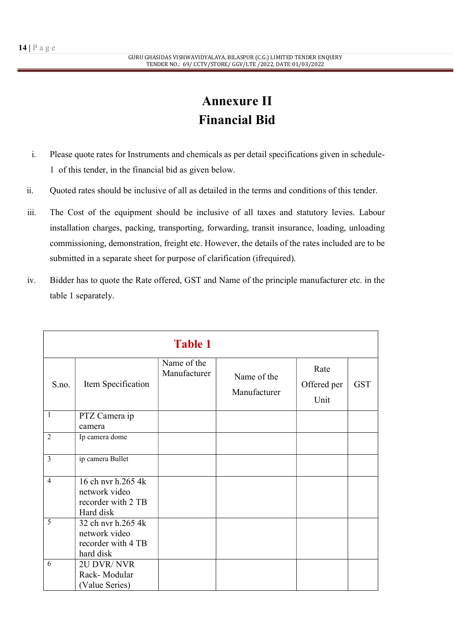# Annexure II Financial Bid

- i. Please quote rates for Instruments and chemicals as per detail specifications given in schedule-1 of this tender, in the financial bid as given below.
- ii. Quoted rates should be inclusive of all as detailed in the terms and conditions of this tender.
- iii. The Cost of the equipment should be inclusive of all taxes and statutory levies. Labour installation charges, packing, transporting, forwarding, transit insurance, loading, unloading commissioning, demonstration, freight etc. However, the details of the rates included are to be submitted in a separate sheet for purpose of clarification (ifrequired).
- iv. Bidder has to quote the Rate offered, GST and Name of the principle manufacturer etc. in the table 1 separately.

|                | <b>Table 1</b>                                                         |                             |                             |                             |            |  |  |
|----------------|------------------------------------------------------------------------|-----------------------------|-----------------------------|-----------------------------|------------|--|--|
| S.no.          | Item Specification                                                     | Name of the<br>Manufacturer | Name of the<br>Manufacturer | Rate<br>Offered per<br>Unit | <b>GST</b> |  |  |
| $\mathbf{1}$   | PTZ Camera ip<br>camera                                                |                             |                             |                             |            |  |  |
| 2              | Ip camera dome                                                         |                             |                             |                             |            |  |  |
| $\overline{3}$ | ip camera Bullet                                                       |                             |                             |                             |            |  |  |
| $\overline{4}$ | 16 ch nvr h.265 4k<br>network video<br>recorder with 2 TB<br>Hard disk |                             |                             |                             |            |  |  |
| 5              | 32 ch nvr h.265 4k<br>network video<br>recorder with 4 TB<br>hard disk |                             |                             |                             |            |  |  |
| 6              | 2U DVR/NVR<br>Rack-Modular<br>(Value Series)                           |                             |                             |                             |            |  |  |